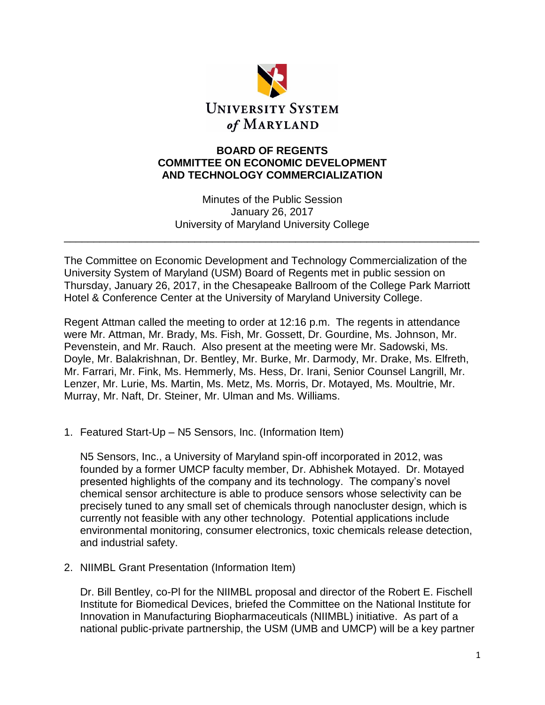

## **BOARD OF REGENTS COMMITTEE ON ECONOMIC DEVELOPMENT AND TECHNOLOGY COMMERCIALIZATION**

Minutes of the Public Session January 26, 2017 University of Maryland University College

\_\_\_\_\_\_\_\_\_\_\_\_\_\_\_\_\_\_\_\_\_\_\_\_\_\_\_\_\_\_\_\_\_\_\_\_\_\_\_\_\_\_\_\_\_\_\_\_\_\_\_\_\_\_\_\_\_\_\_\_\_\_\_\_\_\_\_\_\_\_

The Committee on Economic Development and Technology Commercialization of the University System of Maryland (USM) Board of Regents met in public session on Thursday, January 26, 2017, in the Chesapeake Ballroom of the College Park Marriott Hotel & Conference Center at the University of Maryland University College.

Regent Attman called the meeting to order at 12:16 p.m. The regents in attendance were Mr. Attman, Mr. Brady, Ms. Fish, Mr. Gossett, Dr. Gourdine, Ms. Johnson, Mr. Pevenstein, and Mr. Rauch. Also present at the meeting were Mr. Sadowski, Ms. Doyle, Mr. Balakrishnan, Dr. Bentley, Mr. Burke, Mr. Darmody, Mr. Drake, Ms. Elfreth, Mr. Farrari, Mr. Fink, Ms. Hemmerly, Ms. Hess, Dr. Irani, Senior Counsel Langrill, Mr. Lenzer, Mr. Lurie, Ms. Martin, Ms. Metz, Ms. Morris, Dr. Motayed, Ms. Moultrie, Mr. Murray, Mr. Naft, Dr. Steiner, Mr. Ulman and Ms. Williams.

1. Featured Start-Up – N5 Sensors, Inc. (Information Item)

N5 Sensors, Inc., a University of Maryland spin-off incorporated in 2012, was founded by a former UMCP faculty member, Dr. Abhishek Motayed. Dr. Motayed presented highlights of the company and its technology. The company's novel chemical sensor architecture is able to produce sensors whose selectivity can be precisely tuned to any small set of chemicals through nanocluster design, which is currently not feasible with any other technology. Potential applications include environmental monitoring, consumer electronics, toxic chemicals release detection, and industrial safety.

2. NIIMBL Grant Presentation (Information Item)

Dr. Bill Bentley, co-Pl for the NIIMBL proposal and director of the Robert E. Fischell Institute for Biomedical Devices, briefed the Committee on the National Institute for Innovation in Manufacturing Biopharmaceuticals (NIIMBL) initiative. As part of a national public-private partnership, the USM (UMB and UMCP) will be a key partner